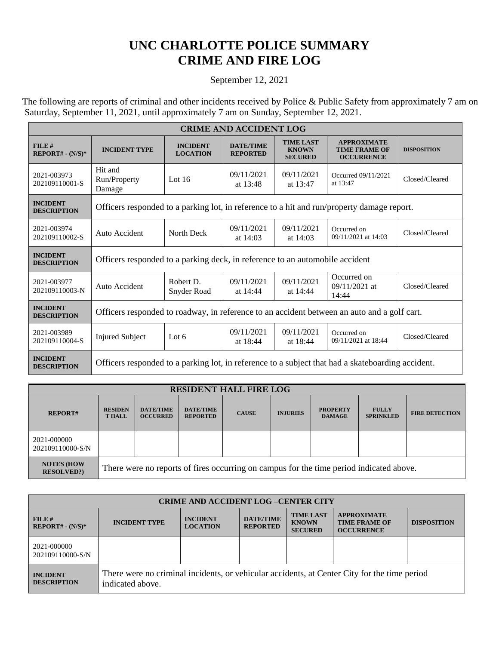## **UNC CHARLOTTE POLICE SUMMARY CRIME AND FIRE LOG**

## September 12, 2021

The following are reports of criminal and other incidents received by Police & Public Safety from approximately 7 am on Saturday, September 11, 2021, until approximately 7 am on Sunday, September 12, 2021.

| <b>CRIME AND ACCIDENT LOG</b>         |                                                                                                   |                                    |                                     |                                                    |                                                                 |                    |  |  |
|---------------------------------------|---------------------------------------------------------------------------------------------------|------------------------------------|-------------------------------------|----------------------------------------------------|-----------------------------------------------------------------|--------------------|--|--|
| $FILE$ #<br>$REPORT# - (N/S)*$        | <b>INCIDENT TYPE</b>                                                                              | <b>INCIDENT</b><br><b>LOCATION</b> | <b>DATE/TIME</b><br><b>REPORTED</b> | <b>TIME LAST</b><br><b>KNOWN</b><br><b>SECURED</b> | <b>APPROXIMATE</b><br><b>TIME FRAME OF</b><br><b>OCCURRENCE</b> | <b>DISPOSITION</b> |  |  |
| 2021-003973<br>202109110001-S         | Hit and<br>Run/Property<br>Damage                                                                 | Lot $16$                           | 09/11/2021<br>at 13:48              | 09/11/2021<br>at 13:47                             | Occurred 09/11/2021<br>at 13:47                                 | Closed/Cleared     |  |  |
| <b>INCIDENT</b><br><b>DESCRIPTION</b> | Officers responded to a parking lot, in reference to a hit and run/property damage report.        |                                    |                                     |                                                    |                                                                 |                    |  |  |
| 2021-003974<br>202109110002-S         | Auto Accident                                                                                     | North Deck                         | 09/11/2021<br>at $14:03$            | 09/11/2021<br>at $14:03$                           | Occurred on<br>09/11/2021 at 14:03                              | Closed/Cleared     |  |  |
| <b>INCIDENT</b><br><b>DESCRIPTION</b> | Officers responded to a parking deck, in reference to an automobile accident                      |                                    |                                     |                                                    |                                                                 |                    |  |  |
| 2021-003977<br>202109110003-N         | Auto Accident                                                                                     | Robert D.<br>Snyder Road           | 09/11/2021<br>at 14:44              | 09/11/2021<br>at 14:44                             | Occurred on<br>09/11/2021 at<br>14:44                           | Closed/Cleared     |  |  |
| <b>INCIDENT</b><br><b>DESCRIPTION</b> | Officers responded to roadway, in reference to an accident between an auto and a golf cart.       |                                    |                                     |                                                    |                                                                 |                    |  |  |
| 2021-003989<br>202109110004-S         | <b>Injured Subject</b>                                                                            | Lot $6$                            | 09/11/2021<br>at 18:44              | 09/11/2021<br>at 18:44                             | Occurred on<br>09/11/2021 at 18:44                              | Closed/Cleared     |  |  |
| <b>INCIDENT</b><br><b>DESCRIPTION</b> | Officers responded to a parking lot, in reference to a subject that had a skateboarding accident. |                                    |                                     |                                                    |                                                                 |                    |  |  |

| <b>RESIDENT HALL FIRE LOG</b>          |                                                                                         |                                     |                                     |              |                 |                                  |                                  |                       |
|----------------------------------------|-----------------------------------------------------------------------------------------|-------------------------------------|-------------------------------------|--------------|-----------------|----------------------------------|----------------------------------|-----------------------|
| <b>REPORT#</b>                         | <b>RESIDEN</b><br><b>THALL</b>                                                          | <b>DATE/TIME</b><br><b>OCCURRED</b> | <b>DATE/TIME</b><br><b>REPORTED</b> | <b>CAUSE</b> | <b>INJURIES</b> | <b>PROPERTY</b><br><b>DAMAGE</b> | <b>FULLY</b><br><b>SPRINKLED</b> | <b>FIRE DETECTION</b> |
| 2021-000000<br>202109110000-S/N        |                                                                                         |                                     |                                     |              |                 |                                  |                                  |                       |
| <b>NOTES (HOW)</b><br><b>RESOLVED?</b> | There were no reports of fires occurring on campus for the time period indicated above. |                                     |                                     |              |                 |                                  |                                  |                       |

| <b>CRIME AND ACCIDENT LOG -CENTER CITY</b> |                                                                                                                  |                                    |                                     |                                                    |                                                                 |                    |  |
|--------------------------------------------|------------------------------------------------------------------------------------------------------------------|------------------------------------|-------------------------------------|----------------------------------------------------|-----------------------------------------------------------------|--------------------|--|
| $FILE$ #<br>$REPORT# - (N/S)*$             | <b>INCIDENT TYPE</b>                                                                                             | <b>INCIDENT</b><br><b>LOCATION</b> | <b>DATE/TIME</b><br><b>REPORTED</b> | <b>TIME LAST</b><br><b>KNOWN</b><br><b>SECURED</b> | <b>APPROXIMATE</b><br><b>TIME FRAME OF</b><br><b>OCCURRENCE</b> | <b>DISPOSITION</b> |  |
| 2021-000000<br>202109110000-S/N            |                                                                                                                  |                                    |                                     |                                                    |                                                                 |                    |  |
| <b>INCIDENT</b><br><b>DESCRIPTION</b>      | There were no criminal incidents, or vehicular accidents, at Center City for the time period<br>indicated above. |                                    |                                     |                                                    |                                                                 |                    |  |